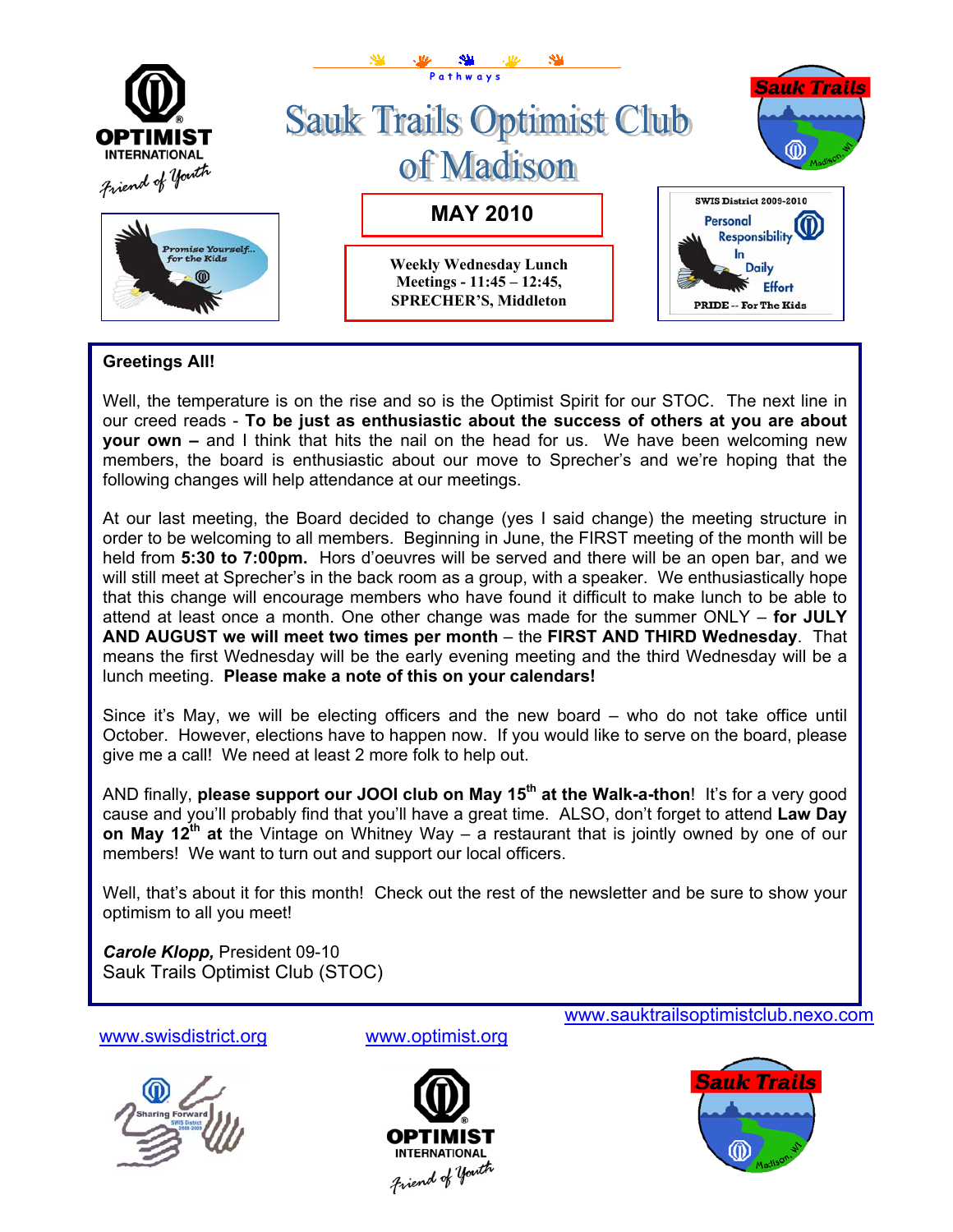

## **Greetings All!**

Well, the temperature is on the rise and so is the Optimist Spirit for our STOC. The next line in our creed reads - **To be just as enthusiastic about the success of others at you are about your own –** and I think that hits the nail on the head for us. We have been welcoming new members, the board is enthusiastic about our move to Sprecher's and we're hoping that the following changes will help attendance at our meetings.

At our last meeting, the Board decided to change (yes I said change) the meeting structure in order to be welcoming to all members. Beginning in June, the FIRST meeting of the month will be held from **5:30 to 7:00pm.** Hors d'oeuvres will be served and there will be an open bar, and we will still meet at Sprecher's in the back room as a group, with a speaker. We enthusiastically hope that this change will encourage members who have found it difficult to make lunch to be able to attend at least once a month. One other change was made for the summer ONLY – **for JULY AND AUGUST we will meet two times per month** – the **FIRST AND THIRD Wednesday**. That means the first Wednesday will be the early evening meeting and the third Wednesday will be a lunch meeting. **Please make a note of this on your calendars!**

Since it's May, we will be electing officers and the new board – who do not take office until October. However, elections have to happen now. If you would like to serve on the board, please give me a call! We need at least 2 more folk to help out.

AND finally, **please support our JOOI club on May 15<sup>th</sup> at the Walk-a-thon!** It's for a very good cause and you'll probably find that you'll have a great time. ALSO, don't forget to attend **Law Day on May 12th at** the Vintage on Whitney Way – a restaurant that is jointly owned by one of our members! We want to turn out and support our local officers.

Well, that's about it for this month! Check out the rest of the newsletter and be sure to show your optimism to all you meet!

*Carole Klopp,* President 09-10 Sauk Trails Optimist Club (STOC)

[www.swisdistrict.org](http://www.swisdistrict.org/) [www.optimist.org](http://www.optimist.org/)







[www.sauktrailsoptimistclub.nexo.com](http://www.sauktrailsoptimistclub.nexo.com/)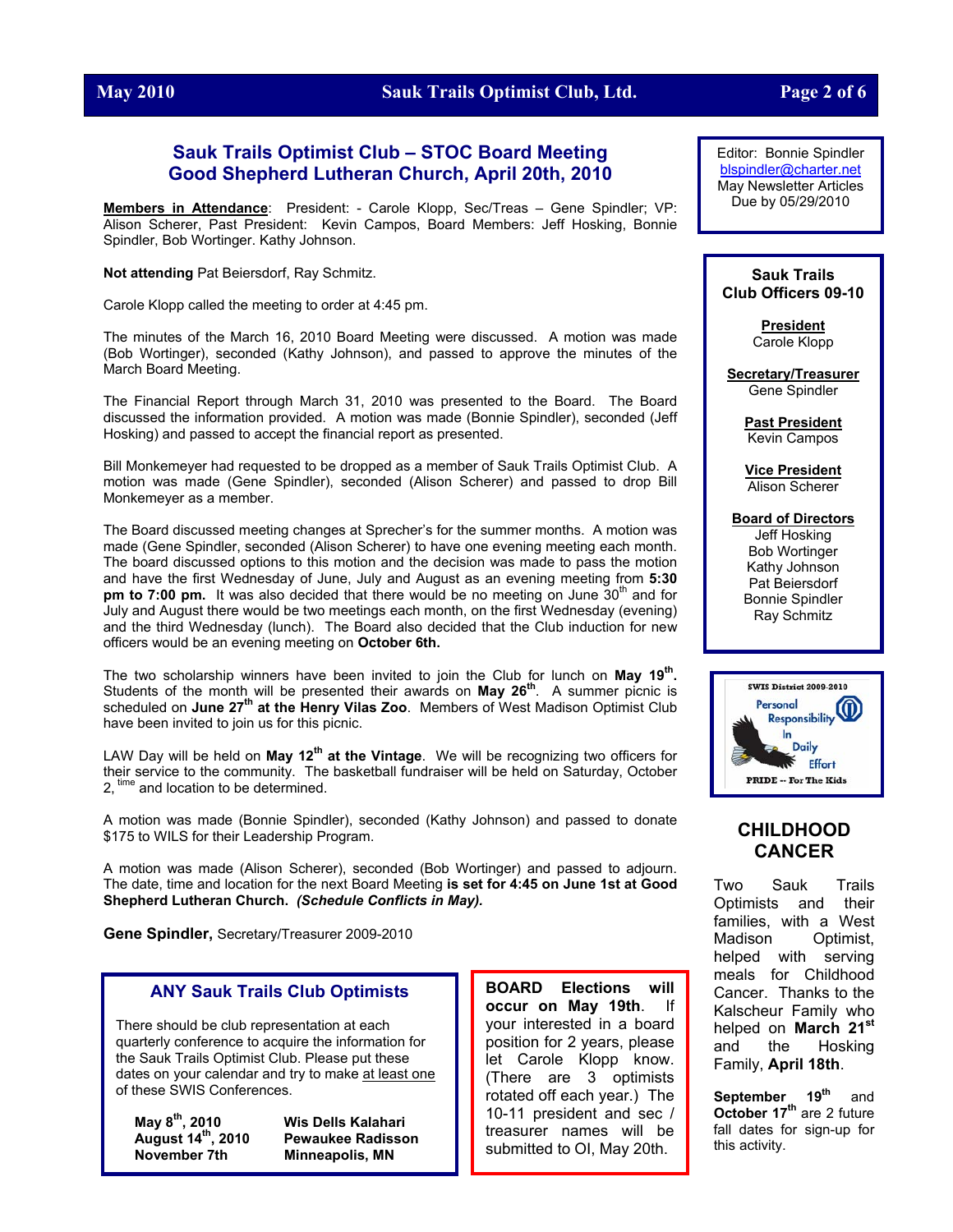

## **May 2010 Sauk Trails Optimist Club, Ltd. Page 2 of 6**

## **Sauk Trails Optimist Club – STOC Board Meeting Good Shepherd Lutheran Church, April 20th, 2010**

**Members in Attendance**: President: - Carole Klopp, Sec/Treas – Gene Spindler; VP: Alison Scherer, Past President: Kevin Campos, Board Members: Jeff Hosking, Bonnie Spindler, Bob Wortinger. Kathy Johnson.

**Not attending** Pat Beiersdorf, Ray Schmitz.

Carole Klopp called the meeting to order at 4:45 pm.

The minutes of the March 16, 2010 Board Meeting were discussed. A motion was made (Bob Wortinger), seconded (Kathy Johnson), and passed to approve the minutes of the March Board Meeting.

The Financial Report through March 31, 2010 was presented to the Board. The Board discussed the information provided. A motion was made (Bonnie Spindler), seconded (Jeff Hosking) and passed to accept the financial report as presented.

Bill Monkemeyer had requested to be dropped as a member of Sauk Trails Optimist Club. A motion was made (Gene Spindler), seconded (Alison Scherer) and passed to drop Bill Monkemeyer as a member.

The Board discussed meeting changes at Sprecher's for the summer months. A motion was made (Gene Spindler, seconded (Alison Scherer) to have one evening meeting each month. The board discussed options to this motion and the decision was made to pass the motion and have the first Wednesday of June, July and August as an evening meeting from **5:30 pm to 7:00 pm.** It was also decided that there would be no meeting on June 30<sup>th</sup> and for July and August there would be two meetings each month, on the first Wednesday (evening) and the third Wednesday (lunch). The Board also decided that the Club induction for new officers would be an evening meeting on **October 6th.**

The two scholarship winners have been invited to join the Club for lunch on **May 19th.** Students of the month will be presented their awards on **May 26th**. A summer picnic is scheduled on June 27<sup>th</sup> at the Henry Vilas Zoo. Members of West Madison Optimist Club have been invited to join us for this picnic.

LAW Day will be held on **May 12th at the Vintage**. We will be recognizing two officers for their service to the community. The basketball fundraiser will be held on Saturday, October 2, time and location to be determined.

A motion was made (Bonnie Spindler), seconded (Kathy Johnson) and passed to donate \$175 to WILS for their Leadership Program.

A motion was made (Alison Scherer), seconded (Bob Wortinger) and passed to adjourn. The date, time and location for the next Board Meeting **is set for 4:45 on June 1st at Good Shepherd Lutheran Church.** *(Schedule Conflicts in May).*

**Gene Spindler,** Secretary/Treasurer 2009-2010

## **ANY Sauk Trails Club Optimists**

There should be club representation at each quarterly conference to acquire the information for the Sauk Trails Optimist Club. Please put these dates on your calendar and try to make at least one of these SWIS Conferences.

**May 8th**

**, 2010 Wis Dells Kalahari August 14th, 2010 Pewaukee Radisson Minneapolis, MN** 

**BOARD Elections will occur on May 19th**. If your interested in a board position for 2 years, please let Carole Klopp know. (There are 3 optimists rotated off each year.) The 10-11 president and sec / treasurer names will be submitted to OI, May 20th.

Editor: Bonnie Spindler [blspindler@charter.net](mailto:blspindler@charter.net) May Newsletter Articles Due by 05/29/2010

#### **Sauk Trails Club Officers 09-10**

**President** Carole Klopp

**Secretary/Treasurer** Gene Spindler

> **Past President** Kevin Campos

> **Vice President** Alison Scherer

**Board of Directors** Jeff Hosking Bob Wortinger Kathy Johnson Pat Beiersdorf Bonnie Spindler Ray Schmitz



## **CHILDHOOD CANCER**

Two Sauk Trails Optimists and their families, with a West Madison Optimist, helped with serving meals for Childhood Cancer. Thanks to the Kalscheur Family who helped on **March 21st** and the Hosking Family, **April 18th**.

September<sub>19th</sub> and **October 17<sup>th</sup>** are 2 future fall dates for sign-up for this activity.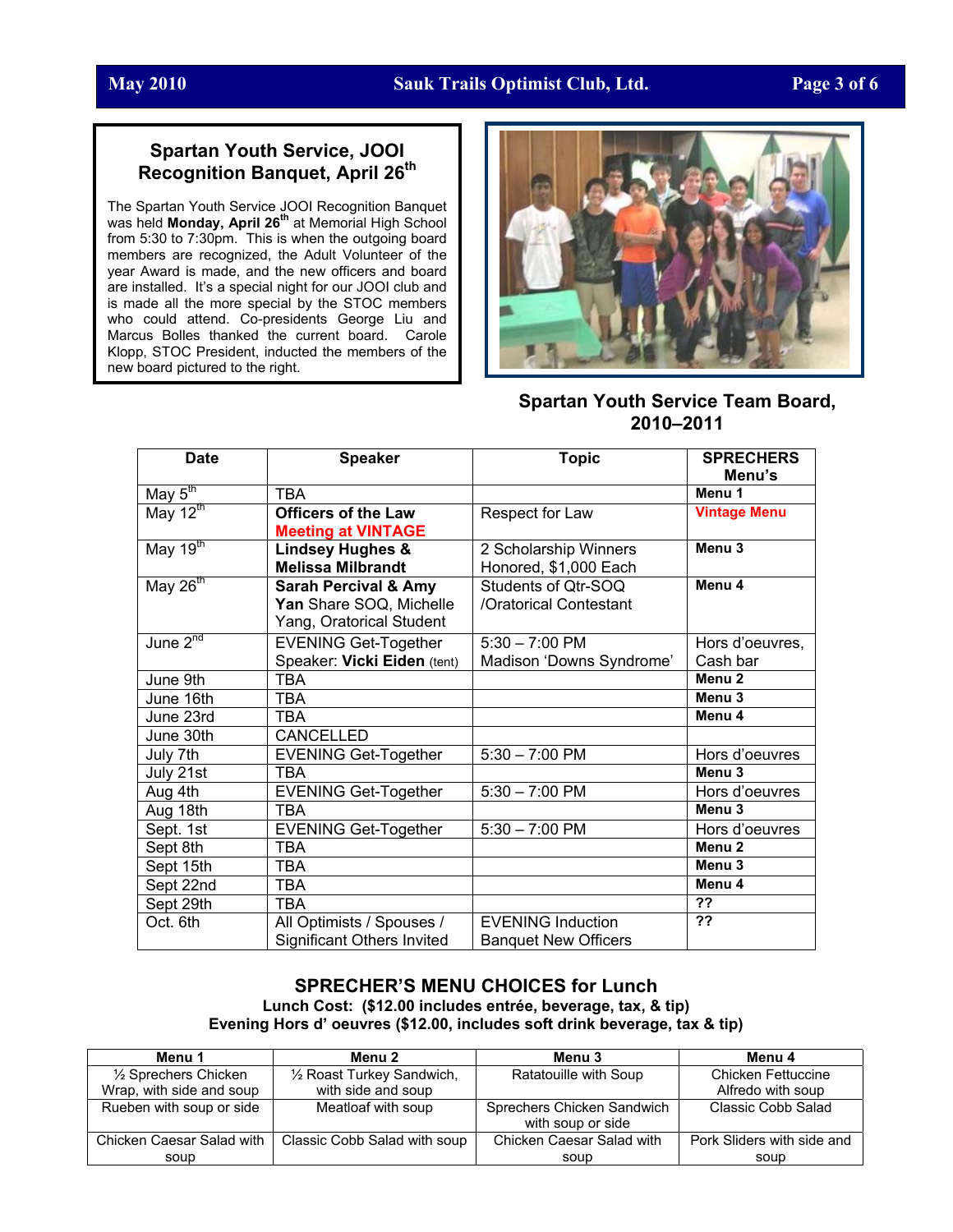## **May 2010 Sauk Trails Optimist Club, Ltd. Page 3 of 6**

## **Spartan Youth Service, JOOI Recognition Banquet, April 26th**

The Spartan Youth Service JOOI Recognition Banquet was held **Monday, April 26th** at Memorial High School from 5:30 to 7:30pm. This is when the outgoing board members are recognized, the Adult Volunteer of the year Award is made, and the new officers and board are installed. It's a special night for our JOOI club and is made all the more special by the STOC members who could attend. Co-presidents George Liu and Marcus Bolles thanked the current board. Carole Klopp, STOC President, inducted the members of the new board pictured to the right.



**Spartan Youth Service Team Board, 2010–2011** 

| <b>Date</b>                            | <b>Speaker</b>                    | <b>Topic</b>                | <b>SPRECHERS</b>    |
|----------------------------------------|-----------------------------------|-----------------------------|---------------------|
|                                        |                                   |                             | Menu's              |
| May $5^{\text{th}}$                    | <b>TBA</b>                        |                             | Menu 1              |
| $\overline{\text{May }12^{\text{th}}}$ | <b>Officers of the Law</b>        | Respect for Law             | <b>Vintage Menu</b> |
|                                        | <b>Meeting at VINTAGE</b>         |                             |                     |
| $\overline{\text{May }19^{\text{th}}}$ | <b>Lindsey Hughes &amp;</b>       | 2 Scholarship Winners       | Menu <sub>3</sub>   |
|                                        | <b>Melissa Milbrandt</b>          | Honored, \$1,000 Each       |                     |
| May $26^{th}$                          | <b>Sarah Percival &amp; Amy</b>   | Students of Qtr-SOQ         | Menu 4              |
|                                        | Yan Share SOQ, Michelle           | /Oratorical Contestant      |                     |
|                                        | Yang, Oratorical Student          |                             |                     |
| June $2^{nd}$                          | <b>EVENING Get-Together</b>       | $5:30 - 7:00$ PM            | Hors d'oeuvres,     |
|                                        | Speaker: Vicki Eiden (tent)       | Madison 'Downs Syndrome'    | Cash bar            |
| June 9th                               | <b>TBA</b>                        |                             | Menu <sub>2</sub>   |
| June 16th                              | TBA                               |                             | Menu <sub>3</sub>   |
| June 23rd                              | <b>TBA</b>                        |                             | Menu <sub>4</sub>   |
| June 30th                              | CANCELLED                         |                             |                     |
| July 7th                               | <b>EVENING Get-Together</b>       | $5:30 - 7:00$ PM            | Hors d'oeuvres      |
| July 21st                              | TBA                               |                             | Menu <sub>3</sub>   |
| Aug 4th                                | <b>EVENING Get-Together</b>       | $5:30 - 7:00$ PM            | Hors d'oeuvres      |
| Aug 18th                               | <b>TBA</b>                        |                             | Menu <sub>3</sub>   |
| Sept. 1st                              | <b>EVENING Get-Together</b>       | $5:30 - 7:00$ PM            | Hors d'oeuvres      |
| Sept 8th                               | <b>TBA</b>                        |                             | Menu <sub>2</sub>   |
| Sept 15th                              | <b>TBA</b>                        |                             | Menu <sub>3</sub>   |
| Sept 22nd                              | <b>TBA</b>                        |                             | Menu <sub>4</sub>   |
| Sept 29th                              | <b>TBA</b>                        |                             | $\overline{?}$      |
| Oct. 6th                               | All Optimists / Spouses /         | <b>EVENING Induction</b>    | ??                  |
|                                        | <b>Significant Others Invited</b> | <b>Banquet New Officers</b> |                     |

## **SPRECHER'S MENU CHOICES for Lunch Lunch Cost: (\$12.00 includes entrée, beverage, tax, & tip) Evening Hors d' oeuvres (\$12.00, includes soft drink beverage, tax & tip)**

| Menu 1                    | Menu 2                       | Menu 3                     | Menu 4                     |
|---------------------------|------------------------------|----------------------------|----------------------------|
| 1/2 Sprechers Chicken     | 1/2 Roast Turkey Sandwich,   | Ratatouille with Soup      | Chicken Fettuccine         |
| Wrap, with side and soup  | with side and soup           |                            | Alfredo with soup          |
| Rueben with soup or side  | Meatloaf with soup           | Sprechers Chicken Sandwich | <b>Classic Cobb Salad</b>  |
|                           |                              | with soup or side          |                            |
| Chicken Caesar Salad with | Classic Cobb Salad with soup | Chicken Caesar Salad with  | Pork Sliders with side and |
| soup                      |                              | soup                       | soup                       |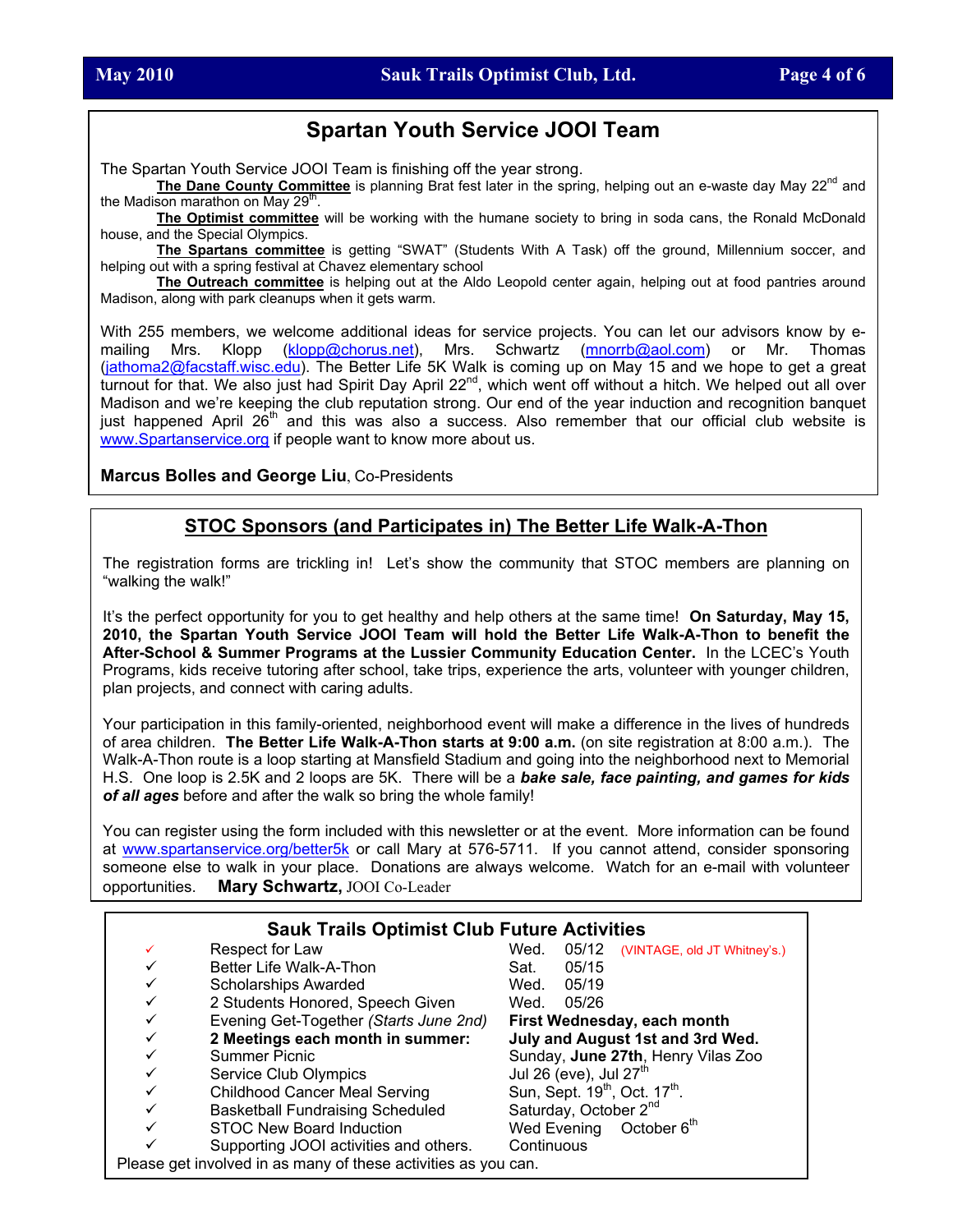# **Spartan Youth Service JOOI Team**

The Spartan Youth Service JOOI Team is finishing off the year strong.

The Dane County Committee is planning Brat fest later in the spring, helping out an e-waste day May 22<sup>nd</sup> and the Madison marathon on May 29<sup>th</sup>.

**The Optimist committee** will be working with the humane society to bring in soda cans, the Ronald McDonald house, and the Special Olympics.

**The Spartans committee** is getting "SWAT" (Students With A Task) off the ground, Millennium soccer, and helping out with a spring festival at Chavez elementary school

**The Outreach committee** is helping out at the Aldo Leopold center again, helping out at food pantries around Madison, along with park cleanups when it gets warm.

With 255 members, we welcome additional ideas for service projects. You can let our advisors know by emailing Mrs. Klopp [\(klopp@chorus.net\)](mailto:klopp@chorus.net), Mrs. Schwartz [\(mnorrb@aol.com](mailto:mnorrb@aol.com)) or Mr. Thomas ([jathoma2@facstaff.wisc.edu](mailto:jathoma2@facstaff.wisc.edu)). The Better Life 5K Walk is coming up on May 15 and we hope to get a great turnout for that. We also just had Spirit Day April 22<sup>nd</sup>, which went off without a hitch. We helped out all over Madison and we're keeping the club reputation strong. Our end of the year induction and recognition banquet just happened April 26<sup>th</sup> and this was also a success. Also remember that our official club website is [www.Spartanservice.org](http://www.spartanservice.org/) if people want to know more about us.

**Marcus Bolles and George Liu**, Co-Presidents

## **STOC Sponsors (and Participates in) The Better Life Walk-A-Thon**

The registration forms are trickling in! Let's show the community that STOC members are planning on "walking the walk!"

It's the perfect opportunity for you to get healthy and help others at the same time! **On Saturday, May 15, 2010, the Spartan Youth Service JOOI Team will hold the Better Life Walk-A-Thon to benefit the After-School & Summer Programs at the Lussier Community Education Center.** In the LCEC's Youth Programs, kids receive tutoring after school, take trips, experience the arts, volunteer with younger children, plan projects, and connect with caring adults.

Your participation in this family-oriented, neighborhood event will make a difference in the lives of hundreds of area children. **The Better Life Walk-A-Thon starts at 9:00 a.m.** (on site registration at 8:00 a.m.). The Walk-A-Thon route is a loop starting at Mansfield Stadium and going into the neighborhood next to Memorial H.S. One loop is 2.5K and 2 loops are 5K. There will be a *bake sale, face painting, and games for kids of all ages* before and after the walk so bring the whole family!

You can register using the form included with this newsletter or at the event. More information can be found at [www.spartanservice.org/better5k](http://www.spartanservice.org/better5k) or call Mary at 576-5711. If you cannot attend, consider sponsoring someone else to walk in your place. Donations are always welcome. Watch for an e-mail with volunteer opportunities. **Mary Schwartz,** JOOI Co-Leader

|              | <b>Sauk Trails Optimist Club Future Activities</b>             |                                                       |
|--------------|----------------------------------------------------------------|-------------------------------------------------------|
| ✓            | Respect for Law                                                | Wed.<br>05/12<br>(VINTAGE, old JT Whitney's.)         |
|              | Better Life Walk-A-Thon                                        | 05/15<br>Sat.                                         |
| ✓            | <b>Scholarships Awarded</b>                                    | Wed.<br>05/19                                         |
|              | 2 Students Honored, Speech Given                               | Wed.<br>05/26                                         |
| ✓            | Evening Get-Together (Starts June 2nd)                         | First Wednesday, each month                           |
| ✓            | 2 Meetings each month in summer:                               | July and August 1st and 3rd Wed.                      |
| ✓            | <b>Summer Picnic</b>                                           | Sunday, June 27th, Henry Vilas Zoo                    |
|              | Service Club Olympics                                          | Jul 26 (eve), Jul $27th$                              |
|              | <b>Childhood Cancer Meal Serving</b>                           | Sun, Sept. 19 <sup>th</sup> , Oct. 17 <sup>th</sup> . |
| ✓            | <b>Basketball Fundraising Scheduled</b>                        | Saturday, October 2 <sup>nd</sup>                     |
| $\checkmark$ | STOC New Board Induction                                       | Wed Evening October 6th                               |
|              | Supporting JOOI activities and others.                         | Continuous                                            |
|              | Please get involved in as many of these activities as you can. |                                                       |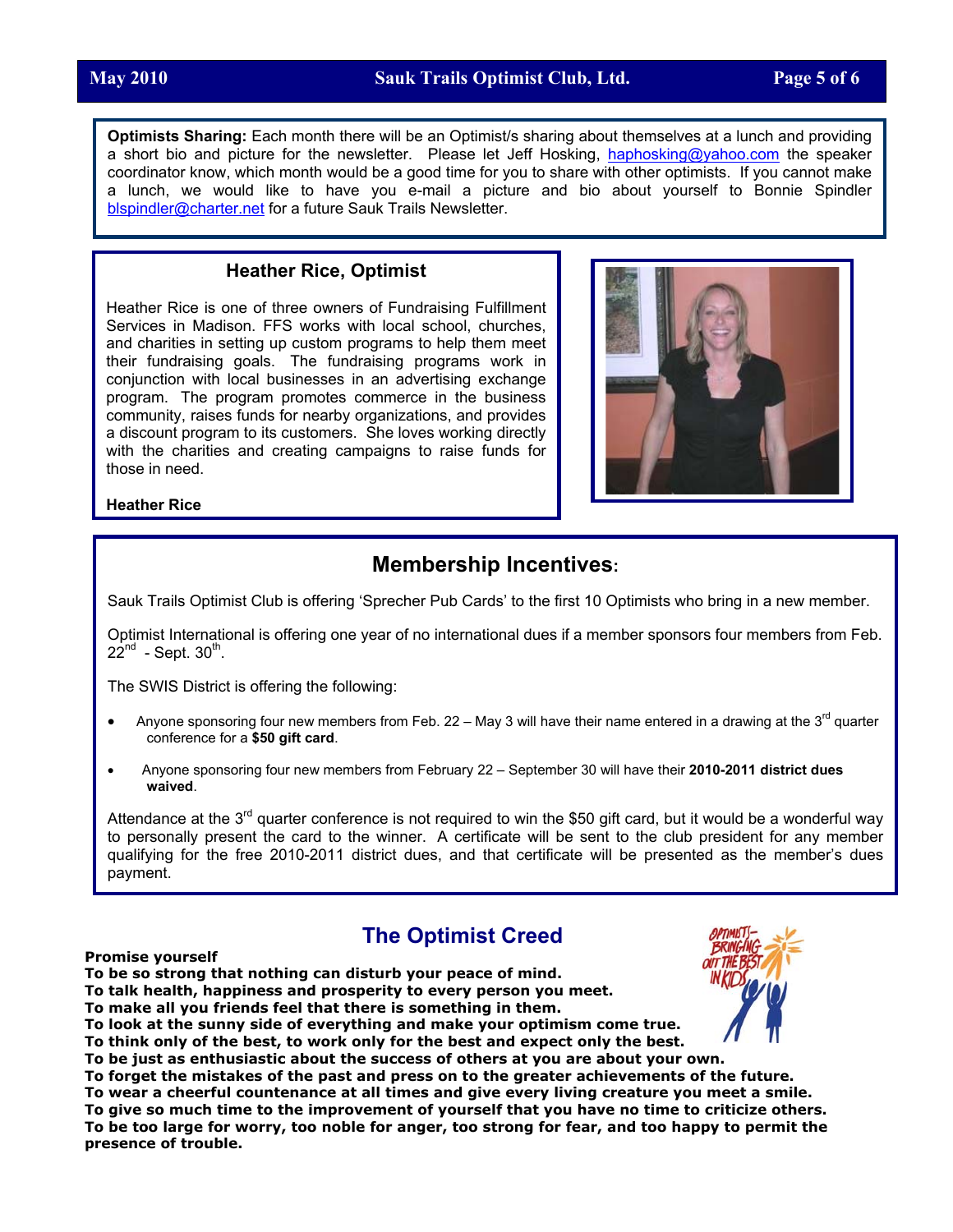**Optimists Sharing:** Each month there will be an Optimist/s sharing about themselves at a lunch and providing a short bio and picture for the newsletter. Please let Jeff Hosking, [haphosking@yahoo.com](mailto:haphosking@yahoo.com) the speaker coordinator know, which month would be a good time for you to share with other optimists. If you cannot make a lunch, we would like to have you e-mail a picture and bio about yourself to Bonnie Spindler [blspindler@charter.net](mailto:blspindler@charter.net) for a future Sauk Trails Newsletter.

## **Heather Rice, Optimist**

Heather Rice is one of three owners of Fundraising Fulfillment Services in Madison. FFS works with local school, churches, and charities in setting up custom programs to help them meet their fundraising goals. The fundraising programs work in conjunction with local businesses in an advertising exchange program. The program promotes commerce in the business community, raises funds for nearby organizations, and provides a discount program to its customers. She loves working directly with the charities and creating campaigns to raise funds for those in need.



## **Heather Rice**

# **Membership Incentives:**

Sauk Trails Optimist Club is offering 'Sprecher Pub Cards' to the first 10 Optimists who bring in a new member.

Optimist International is offering one year of no international dues if a member sponsors four members from Feb.  $22^{nd}$  - Sept.  $30^{th}$ .

The SWIS District is offering the following:

- Anyone sponsoring four new members from Feb. 22 May 3 will have their name entered in a drawing at the  $3<sup>rd</sup>$  quarter conference for a **\$50 gift card**.
- Anyone sponsoring four new members from February 22 September 30 will have their **2010-2011 district dues waived**.

Attendance at the 3<sup>rd</sup> quarter conference is not required to win the \$50 gift card, but it would be a wonderful way to personally present the card to the winner. A certificate will be sent to the club president for any member qualifying for the free 2010-2011 district dues, and that certificate will be presented as the member's dues payment.

# **The Optimist Creed**

#### **Promise yourself**

**To be so strong that nothing can disturb your peace of mind.** 

**To talk health, happiness and prosperity to every person you meet.** 

**To make all you friends feel that there is something in them.** 

**To look at the sunny side of everything and make your optimism come true.** 

**To think only of the best, to work only for the best and expect only the best.** 

**To be just as enthusiastic about the success of others at you are about your own.** 

**To forget the mistakes of the past and press on to the greater achievements of the future.** 

**To wear a cheerful countenance at all times and give every living creature you meet a smile. To give so much time to the improvement of yourself that you have no time to criticize others. To be too large for worry, too noble for anger, too strong for fear, and too happy to permit the presence of trouble.**